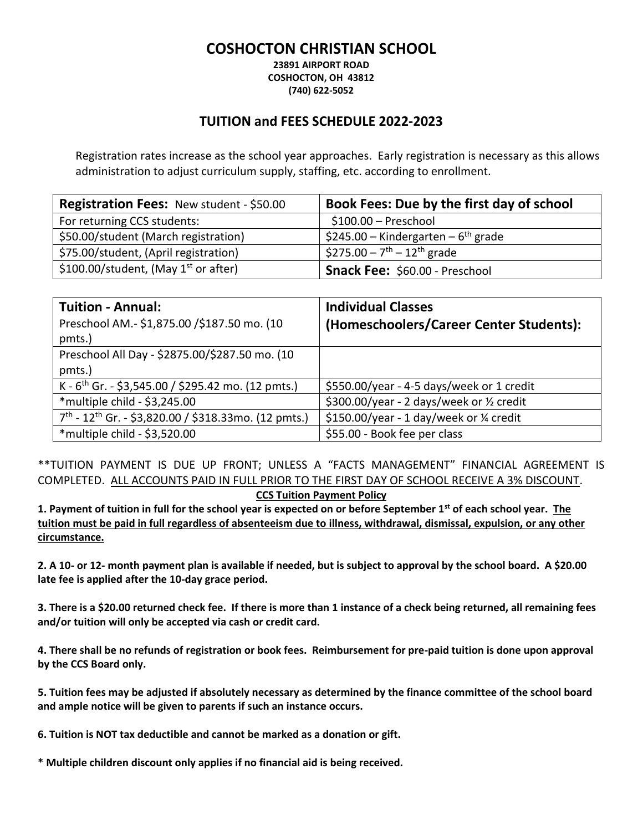## **COSHOCTON CHRISTIAN SCHOOL**

**23891 AIRPORT ROAD COSHOCTON, OH 43812 (740) 622-5052**

## **TUITION and FEES SCHEDULE 2022-2023**

Registration rates increase as the school year approaches. Early registration is necessary as this allows administration to adjust curriculum supply, staffing, etc. according to enrollment.

| <b>Registration Fees: New student - \$50.00</b> | Book Fees: Due by the first day of school           |
|-------------------------------------------------|-----------------------------------------------------|
| For returning CCS students:                     | $$100.00 - Preschool$                               |
| \$50.00/student (March registration)            | \$245.00 – Kindergarten – 6 <sup>th</sup> grade     |
| \$75.00/student, (April registration)           | \$275.00 - 7 <sup>th</sup> - 12 <sup>th</sup> grade |
| \$100.00/student, (May $1^{st}$ or after)       | Snack Fee: \$60.00 - Preschool                      |

| <b>Tuition - Annual:</b>                                                     | <b>Individual Classes</b>                 |
|------------------------------------------------------------------------------|-------------------------------------------|
| Preschool AM.- \$1,875.00 /\$187.50 mo. (10<br>pmts.)                        | (Homeschoolers/Career Center Students):   |
| Preschool All Day - \$2875.00/\$287.50 mo. (10                               |                                           |
| pmts.)                                                                       |                                           |
| K - $6th$ Gr. - \$3,545.00 / \$295.42 mo. (12 pmts.)                         | \$550.00/year - 4-5 days/week or 1 credit |
| *multiple child - \$3,245.00                                                 | \$300.00/year - 2 days/week or 1/2 credit |
| 7 <sup>th</sup> - 12 <sup>th</sup> Gr. - \$3,820.00 / \$318.33mo. (12 pmts.) | \$150.00/year - 1 day/week or 1/4 credit  |
| *multiple child - \$3,520.00                                                 | \$55.00 - Book fee per class              |

\*\*TUITION PAYMENT IS DUE UP FRONT; UNLESS A "FACTS MANAGEMENT" FINANCIAL AGREEMENT IS COMPLETED. ALL ACCOUNTS PAID IN FULL PRIOR TO THE FIRST DAY OF SCHOOL RECEIVE A 3% DISCOUNT.

**CCS Tuition Payment Policy**

**1. Payment of tuition in full for the school year is expected on or before September 1st of each school year. The tuition must be paid in full regardless of absenteeism due to illness, withdrawal, dismissal, expulsion, or any other circumstance.**

**2. A 10- or 12- month payment plan is available if needed, but is subject to approval by the school board. A \$20.00 late fee is applied after the 10-day grace period.** 

**3. There is a \$20.00 returned check fee. If there is more than 1 instance of a check being returned, all remaining fees and/or tuition will only be accepted via cash or credit card.**

**4. There shall be no refunds of registration or book fees. Reimbursement for pre-paid tuition is done upon approval by the CCS Board only.** 

**5. Tuition fees may be adjusted if absolutely necessary as determined by the finance committee of the school board and ample notice will be given to parents if such an instance occurs.**

**6. Tuition is NOT tax deductible and cannot be marked as a donation or gift.** 

**\* Multiple children discount only applies if no financial aid is being received.**